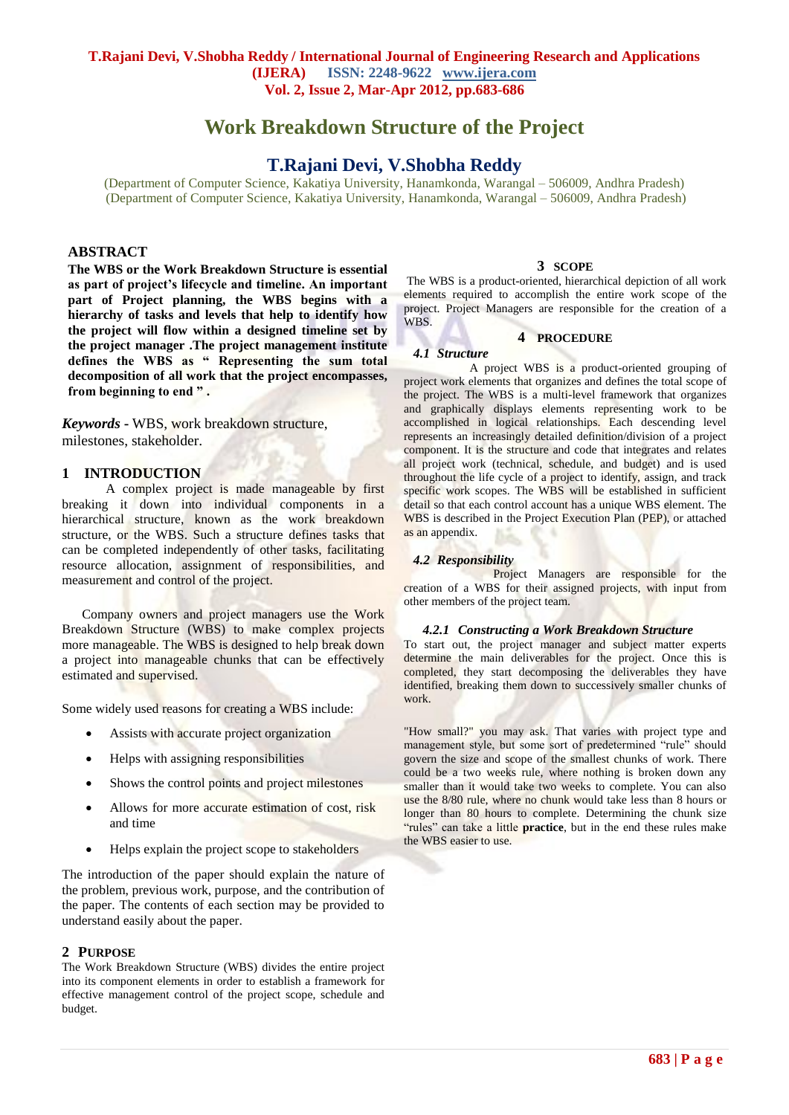# **Work Breakdown Structure of the Project**

# **T.Rajani Devi, V.Shobha Reddy**

(Department of Computer Science, Kakatiya University, Hanamkonda, Warangal – 506009, Andhra Pradesh) (Department of Computer Science, Kakatiya University, Hanamkonda, Warangal – 506009, Andhra Pradesh)

## **ABSTRACT**

**The WBS or the Work Breakdown Structure is essential as part of project's lifecycle and timeline. An important part of Project planning, the WBS begins with a hierarchy of tasks and levels that help to identify how the project will flow within a designed timeline set by the project manager .The project management institute defines the WBS as " Representing the sum total decomposition of all work that the project encompasses, from beginning to end " .**

*Keywords* **-** WBS, work breakdown structure, milestones, stakeholder.

#### **1 INTRODUCTION**

 A complex project is made manageable by first breaking it down into individual components in a hierarchical structure, known as the work breakdown structure, or the WBS. Such a structure defines tasks that can be completed independently of other tasks, facilitating resource allocation, assignment of responsibilities, and measurement and control of the project.

 Company owners and project managers use the Work Breakdown Structure (WBS) to make complex projects more manageable. The WBS is designed to help break down a project into manageable chunks that can be effectively estimated and supervised.

Some widely used reasons for creating a WBS include:

- Assists with accurate project organization
- Helps with assigning responsibilities
- Shows the control points and project milestones
- Allows for more accurate estimation of cost, risk and time
- Helps explain the project scope to stakeholders

The introduction of the paper should explain the nature of the problem, previous work, purpose, and the contribution of the paper. The contents of each section may be provided to understand easily about the paper.

#### **2 PURPOSE**

The Work Breakdown Structure (WBS) divides the entire project into its component elements in order to establish a framework for effective management control of the project scope, schedule and budget.

#### **3 SCOPE**

The WBS is a product-oriented, hierarchical depiction of all work elements required to accomplish the entire work scope of the project. Project Managers are responsible for the creation of a WBS.

#### **4 PROCEDURE**

#### *4.1 Structure*

 A project WBS is a product-oriented grouping of project work elements that organizes and defines the total scope of the project. The WBS is a multi-level framework that organizes and graphically displays elements representing work to be accomplished in logical relationships. Each descending level represents an increasingly detailed definition/division of a project component. It is the structure and code that integrates and relates all project work (technical, schedule, and budget) and is used throughout the life cycle of a project to identify, assign, and track specific work scopes. The WBS will be established in sufficient detail so that each control account has a unique WBS element. The WBS is described in the Project Execution Plan (PEP), or attached as an appendix.

#### *4.2 Responsibility*

 Project Managers are responsible for the creation of a WBS for their assigned projects, with input from other members of the project team.

#### *4.2.1 Constructing a Work Breakdown Structure*

To start out, the project manager and subject matter experts determine the main deliverables for the project. Once this is completed, they start decomposing the deliverables they have identified, breaking them down to successively smaller chunks of work.

"How small?" you may ask. That varies with project type and management style, but some sort of predetermined "rule" should govern the size and scope of the smallest chunks of work. There could be a two weeks rule, where nothing is broken down any smaller than it would take two weeks to complete. You can also use the 8/80 rule, where no chunk would take less than 8 hours or longer than 80 hours to complete. Determining the chunk size "rules" can take a little **practice**, but in the end these rules make the WBS easier to use.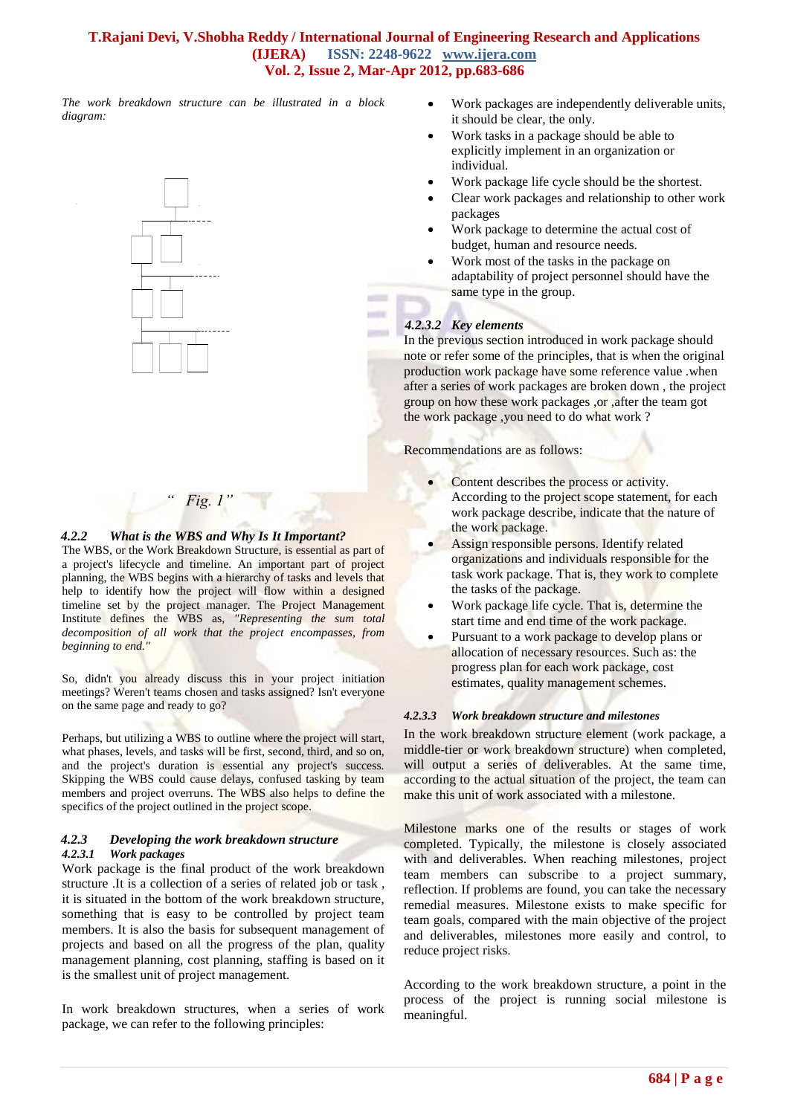# **T.Rajani Devi, V.Shobha Reddy / International Journal of Engineering Research and Applications (IJERA) ISSN: 2248-9622 www.ijera.com Vol. 2, Issue 2, Mar-Apr 2012, pp.683-686**

**COLLECT** sione

*The work breakdown structure can be illustrated in a block diagram:*



# *Fig. 1'*

## *4.2.2 What is the WBS and Why Is It Important?*

The WBS, or the Work Breakdown Structure, is essential as part of a project's lifecycle and timeline. An important part of project planning, the WBS begins with a hierarchy of tasks and levels that help to identify how the project will flow within a designed timeline set by the project manager. The Project Management Institute defines the WBS as, *"Representing the sum total decomposition of all work that the project encompasses, from beginning to end."*

So, didn't you already discuss this in your [project initiation](http://www.brighthub.com/office/project-management/articles/29368.aspx) meetings? Weren't teams chosen and tasks assigned? Isn't everyone on the same page and ready to go?

Perhaps, but utilizing a WBS to outline where the project will start, what phases, levels, and tasks will be first, second, third, and so on, and the project's duration is essential any project's success. Skipping the WBS could cause delays, confused tasking by team members and project overruns. The WBS also helps to define the specifics of the project outlined in the [project scope.](http://www.brighthub.com/office/project-management/articles/10057.aspx)

## *4.2.3 Developing the work breakdown structure 4.2.3.1 Work packages*

Work package is the final product of the work breakdown structure .It is a collection of a series of related job or task , it is situated in the bottom of the work breakdown structure, something that is easy to be controlled by project team members. It is also the basis for subsequent management of projects and based on all the progress of the plan, quality management planning, cost planning, staffing is based on it is the smallest unit of project management.

In work breakdown structures, when a series of work package, we can refer to the following principles:

- Work packages are independently deliverable units, it should be clear, the only.
- Work tasks in a package should be able to explicitly implement in an organization or individual.
- Work package life cycle should be the shortest.
- Clear work packages and relationship to other work packages
- Work package to determine the actual cost of budget, human and resource needs.
- Work most of the tasks in the package on adaptability of project personnel should have the same type in the group.

# *4.2.3.2 Key elements*

In the previous section introduced in work package should note or refer some of the principles, that is when the original production work package have some reference value .when after a series of work packages are broken down , the project group on how these work packages ,or ,after the team got the work package ,you need to do what work ?

Recommendations are as follows:

- Content describes the process or activity. According to the project scope statement, for each work package describe, indicate that the nature of the work package.
- Assign responsible persons. Identify related organizations and individuals responsible for the task work package. That is, they work to complete the tasks of the package.
- Work package life cycle. That is, determine the start time and end time of the work package.
- Pursuant to a work package to develop plans or allocation of necessary resources. Such as: the progress plan for each work package, cost estimates, quality management schemes.

# *4.2.3.3 Work breakdown structure and milestones*

In the work breakdown structure element (work package, a middle-tier or work breakdown structure) when completed, will output a series of deliverables. At the same time, according to the actual situation of the project, the team can make this unit of work associated with a milestone.

Milestone marks one of the results or stages of work completed. Typically, the milestone is closely associated with and deliverables. When reaching milestones, project team members can subscribe to a project summary, reflection. If problems are found, you can take the necessary remedial measures. Milestone exists to make specific for team goals, compared with the main objective of the project and deliverables, milestones more easily and control, to reduce project risks.

According to the work breakdown structure, a point in the process of the project is running social milestone is meaningful.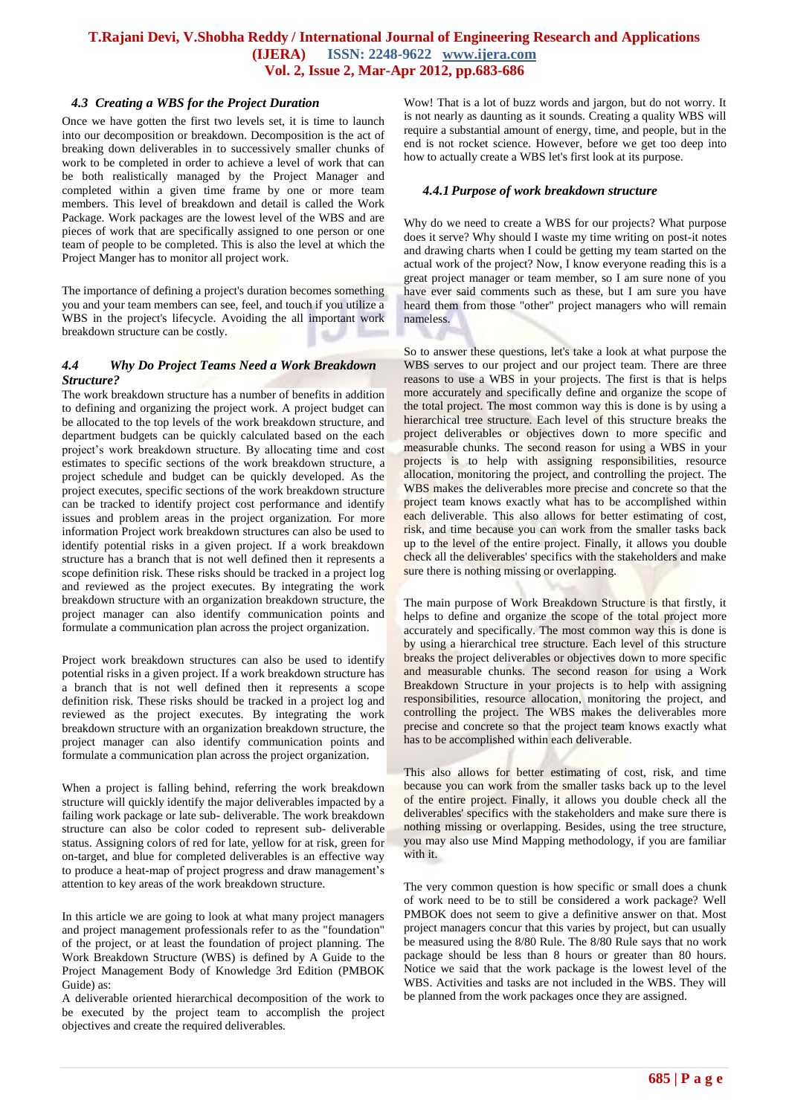# **T.Rajani Devi, V.Shobha Reddy / International Journal of Engineering Research and Applications (IJERA) ISSN: 2248-9622 www.ijera.com Vol. 2, Issue 2, Mar-Apr 2012, pp.683-686**

### *4.3 Creating a WBS for the Project Duration*

Once we have gotten the first two levels set, it is time to launch into our decomposition or breakdown. Decomposition is the act of breaking down deliverables in to successively smaller chunks of work to be completed in order to achieve a level of work that can be both realistically managed by the Project Manager and completed within a given time frame by one or more team members. This level of breakdown and detail is called the Work Package. Work packages are the lowest level of the WBS and are pieces of work that are specifically assigned to one person or one team of people to be completed. This is also the level at which the Project Manger has to monitor all project work.

The importance of defining a project's duration becomes something you and your team members can see, feel, and touch if you utilize a WBS in the project's lifecycle. Avoiding the all important work breakdown structure can be costly.

## *4.4 Why Do Project Teams Need a Work Breakdown Structure?*

The work breakdown structure has a number of benefits in addition to defining and organizing the project work. A project budget can be allocated to the top levels of the work breakdown structure, and department budgets can be quickly calculated based on the each project's work breakdown structure. By allocating time and cost estimates to specific sections of the work breakdown structure, a project schedule and budget can be quickly developed. As the project executes, specific sections of the work breakdown structure can be tracked to identify project cost performance and identify issues and problem areas in the project organization. For more information Project work breakdown structures can also be used to identify potential risks in a given project. If a work breakdown structure has a branch that is not well defined then it represents a scope definition risk. These risks should be tracked in a project log and reviewed as the project executes. By integrating the work breakdown structure with an organization breakdown structure, the project manager can also identify communication points and formulate a communication plan across the project organization.

Project work breakdown structures can also be used to identify potential risks in a given project. If a work breakdown structure has a branch that is not well defined then it represents a scope definition risk. These risks should be tracked in a project log and reviewed as the project executes. By integrating the work breakdown structure with an organization breakdown structure, the project manager can also identify communication points and formulate a communication plan across the project organization.

When a project is falling behind, referring the work breakdown structure will quickly identify the major deliverables impacted by a failing work package or late sub- deliverable. The work breakdown structure can also be color coded to represent sub- deliverable status. Assigning colors of red for late, yellow for at risk, green for on-target, and blue for completed deliverables is an effective way to produce a heat-map of project progress and draw management's attention to key areas of the work breakdown structure.

In this article we are going to look at what many project managers and project management professionals refer to as the "foundation" of the project, or at least the foundation of project planning. The Work Breakdown Structure (WBS) is defined by A Guide to the Project Management Body of Knowledge 3rd Edition (PMBOK Guide) as:

A deliverable oriented hierarchical decomposition of the work to be executed by the project team to accomplish the project objectives and create the required deliverables*.*

Wow! That is a lot of buzz words and jargon, but do not worry. It is not nearly as daunting as it sounds. Creating a quality WBS will require a substantial amount of energy, time, and people, but in the end is not rocket science. However, before we get too deep into how to actually create a WBS let's first look at its purpose.

#### *4.4.1 Purpose of work breakdown structure*

Why do we need to create a WBS for our projects? What purpose does it serve? Why should I waste my time writing on post-it notes and drawing charts when I could be getting my team started on the actual work of the project? Now, I know everyone reading this is a great project manager or team member, so I am sure none of you have ever said comments such as these, but I am sure you have heard them from those "other" project managers who will remain nameless.

So to answer these questions, let's take a look at what purpose the WBS serves to our project and our project team. There are three reasons to use a WBS in your projects. The first is that is helps more accurately and specifically define and organize the scope of the total project. The most common way this is done is by using a hierarchical tree structure. Each level of this structure breaks the project deliverables or objectives down to more specific and measurable chunks. The second reason for using a WBS in your projects is to help with assigning responsibilities, resource allocation, monitoring the project, and controlling the project. The WBS makes the deliverables more precise and concrete so that the project team knows exactly what has to be accomplished within each deliverable. This also allows for better estimating of cost, risk, and time because you can work from the smaller tasks back up to the level of the entire project. Finally, it allows you double check all the deliverables' specifics with the stakeholders and make sure there is nothing missing or overlapping.

The main purpose of Work Breakdown Structure is that firstly, it helps to define and organize the scope of the total project more accurately and specifically. The most common way this is done is by using a hierarchical tree structure. Each level of this structure breaks the project deliverables or objectives down to more specific and measurable chunks. The second reason for using a Work Breakdown Structure in your projects is to help with assigning responsibilities, resource allocation, monitoring the project, and controlling the project. The WBS makes the deliverables more precise and concrete so that the project team knows exactly what has to be accomplished within each deliverable.

This also allows for better estimating of cost, risk, and time because you can work from the smaller tasks back up to the level of the entire project. Finally, it allows you double check all the deliverables' specifics with the stakeholders and make sure there is nothing missing or overlapping. Besides, using the tree structure, you may also use Mind Mapping methodology, if you are familiar with it.

The very common question is how specific or small does a chunk of work need to be to still be considered a work package? Well PMBOK does not seem to give a definitive answer on that. Most project managers concur that this varies by project, but can usually be measured using the 8/80 Rule. The 8/80 Rule says that no work package should be less than 8 hours or greater than 80 hours. Notice we said that the work package is the lowest level of the WBS. Activities and tasks are not included in the WBS. They will be planned from the work packages once they are assigned.